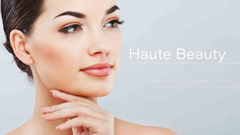

## Haute Beauty

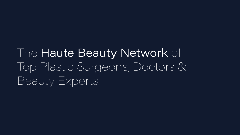## The Haute Beauty Network of Top Plastic Surgeons, Doctors & Beauty Experts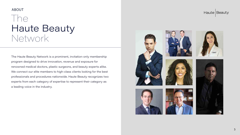

### The Haute Beauty Network ABOUT

The Haute Beauty Network is a prominent, invitation-only membership program designed to drive innovation, revenue and exposure for renowned medical doctors, plastic surgeons, and beauty experts alike. We connect our elite members to high-class clients looking for the best professionals and procedures nationwide. Haute Beauty recognizes two experts from each category of expertise to represent their category as a leading voice in the industry.

#### Haute Beauty

the contract of the contract of the







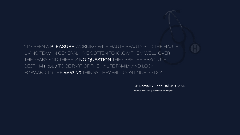"IT'S BEEN A **PLEASURE** WORKING WITH HAUTE BEAUTY AND THE HAUTE I LIVING TEAM IN GENERAL. I'VE GOTTEN TO KNOW THEM WELL, OVER THE YEARS AND THERE IS **NO QUESTION** THEY ARE THE ABSOLUTE BEST. I'M PROUD TO BE PART OF THE HAUTE FAMILY AND LOOK FORWARD TO THE AMAZING THINGS THEY WILL CONTINUE TO DO"

Dr. Dhaval G. Bhanusali MD FAAD

Market: New York | Speciality: Skin Expert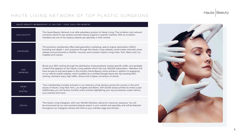

#### HAUTE LIVING NETWORK OF TOP PLASTIC SURGEONS

| HAUTE BEAUTY MEMBERSHIP \$7,500 FOR 1 YEAR [\$625 PER MONTH] |                                                                                                                                                                                                                                                                                                                                                                                                                         |
|--------------------------------------------------------------|-------------------------------------------------------------------------------------------------------------------------------------------------------------------------------------------------------------------------------------------------------------------------------------------------------------------------------------------------------------------------------------------------------------------------|
| EXCLUSIVITY                                                  | The Haute Beauty Network is an elite subsidiary product of Haute Living. This<br>connects clients to top-ranked cosmetic beauty experts in specific markets. W<br>members are one of two beauty experts per specialty in their market.                                                                                                                                                                                  |
| <b>EXPOSURE</b>                                              | The exclusive membership offers lead generation marketing, search engine option-<br>branding and digital + print presence through the Haute Living website, social<br>release announcements to 45,000+ sources, and inclusion Haute Living's New<br>Angeles print issues.                                                                                                                                               |
| SEO<br>RANKING                                               | Boost your SEO ranking through the distribution of personalized, market-speci<br>content that appears on the Haute Living website which has over 500,000 sub<br>have access to and participate in the monthly Haute Beauty online articles in a<br>on our official mobile website, which qualifies as a certified Google News site. I<br>ranking, members enjoy high traffic volume and a higher conversion of clients. |
| PRINT<br><b>DIGITAL</b>                                      | "Your membership includes inclusion in our directory of top doctors across the<br>issues of Haute Living New York, Los Angeles and Miami, with 20,000 issues p<br>Additionally, you will receive monthly online articles highlighting your top proce<br>your practice and more.                                                                                                                                         |
| <b>SOCIAL</b>                                                | The Haute Living Instagram, with over 190,000 followers, allows for maximum e<br>be announced as our new exclusive beauty expert in your market and specialt<br>throughout our Instagram stories with links to your member page and articles.                                                                                                                                                                           |

ng. This invitation only network rkets. With an invitation,

ngine optimization (SEO), e, social media channels, press ng's New York, Miami and Los

ket-specific traffic, and spotlight 000 subscribers. Members will icles in addition to appearing ws site. By boosting SEO

ross the country in the print issues printed six times a year. op procedures, expert advice,

ximum exposure. You will specialty, and will be featured

#### Haute Beauty



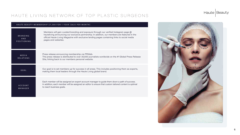

#### HAUTE LIVING NETWORK OF TOP PLASTIC SURGEONS

| HAUTE BEAUTY MEMBERSHIP \$7,500 FOR 1 YEAR [\$625 PER MONTH] |                                                                                                                                                                                                                                                 |
|--------------------------------------------------------------|-------------------------------------------------------------------------------------------------------------------------------------------------------------------------------------------------------------------------------------------------|
| BRANDING<br>AND<br>POSITIONING                               | Members will gain curated branding and exposure through our verified<br>hauteliving announcing our exclusive partnership. In addition, our mer<br>official Haute Living Magazine with exclusive landing pages containing<br>pages and websites. |
| MEDIA<br><b>RELATIONS</b>                                    | Press release announcing membership via PRWeb.<br>The press release is distributed to over 30,000 journalists worldwide or<br>Site, linking back to our members personal website.                                                               |
| GOAL                                                         | Our goal is to set members up for success in all areas. This includes po<br>making them local leaders through the Haute Living global brand.                                                                                                    |
| <b>ACCOUNT</b><br>MANAGER                                    | Each member will be assigned an expert account manager to guide them<br>In addition, each member will be assigned an editor to ensure that custom<br>to reach business goals.                                                                   |

#### Haute Beauty

 $\operatorname{ed}$  Instagram page  $@$ mbers are featured in the ng links to social media

n the #1 Global Press Release

ositioning them as experts,

i down a path of success<mark>.</mark> In tailored content is optimal



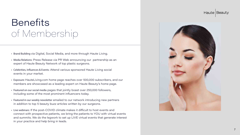

### Benefits of Membership

- Brand Building via Digital, Social Media, and more through Haute Living.
- Media Relations: Press Release via PR Web announcing our partnership as an expert of Haute Beauty Network of top plastic surgeons.
- Celebrities, Influences & Events: Attend various sponsored Haute Living social events in your market.
- Exposure: HauteLiving.com home page reaches over 500,000 subscribers, and our members are showcased as a leading expert on Haute Beauty's home page.
- Featured on our social media pages that jointly boast over 250,000 followers, including some of the most prominent influencers today.
- Featured in our weekly newsletter emailed to our network introducing new partners in addition to top 5 beauty buzz articles written by our surgeons.
- Live webinars: If the post-COVID climate makes it difficult to host events and connect with prospective patients, we bring the patients to YOU with virtual events and summits. We do the legwork to set up LIVE virtual events that generate interest in your practice and help bring in leads.

#### Haute Beauty



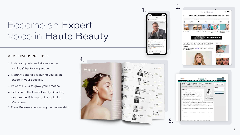

### Become an Expert Voice in Haute Beauty

#### MEMBERSHIP INCLUDES:

- 1. Instagram posts and stories on the verified @hauteliving account
- 2. Monthly editorials featuring you as an expert in your specialty
- 3. Powerful SEO to grow your practice
- 4. Inclusion in the Haute Beauty Directory (featured in 18 issues of Haute Living Magazine)
- 5. Press Release announcing the partnership







#### 2.

5.

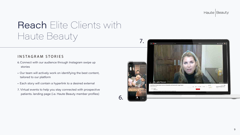

### Reach Elite Clients with Haute Beauty

#### INSTAGRAM STORIES

- 6. Connect with our audience through Instagram swipe up stories
- Our team will actively work on identifying the best content, tailored to our platform
- Each story will contain a hyperlink to a desired external
- 7. Virtual events to help you stay connected with prospective patients. landing page (i.e. Haute Beauty member profiles)

#### Haute Beauty

6.



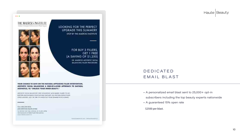

 $\bullet\bullet\bullet$ 

LOOKING FOR THE PERFECT UPGRADE THIS SUMMER? STOP BY THE MAERCKS INSTITUTE



#### FOR BUY 3 FILLERS, **GET 1 FREE** (A SAVING OF \$1,250)

DR. MAEROKS AESTHETIC FACTAL BALANCING JULER PROCEDURE

YOUR CHANCE TO SAVE ON THE NATURAL-APPEARING FILLER INTERVENTION. AESTHETIC FACIAL BALANCING A ONE-OF-A-KIND APPROACH TO NATURAL AESTHETICS, TO "UNLOCK YOUR INNER BEAUTY."

ARSENETIC FACIAL EALANCING USES HYALIRONIC ACID-EASED PILERS TO LIFE. RESTORE AND ENHANCE YOUR NATURAL FEATURES: ALL: NATURAL EESOLIS AND LONG-LASSING, JUST IN TIME TO FINISH OUT YOUR SUMMER WITH A BANG-MARKATAN TIMA MARKAT

CALL (305) 338-8236 AND MENTION HAUTE LIVING. TO STEEDE ONE FEED SERION OF HILLER WITH THE FURCHASE OF THREE FILLES FEEATMENTS **THOM THERE'S KIXER BET** 

THROUGH CONTROLLED TO PERMANENT REP.



- A personalized email blast sent to 25,000+ opt-in subscribers including the top beauty experts nationwide
- A guaranteed 15% open rate
- \$2500 per blast.



#### DEDICATED EMAIL BLAST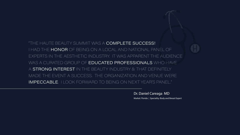"THE HAUTE BEAUTY SUMMIT WAS A **COMPLETE SUCCESS!** I HAD THE HONOR OF BEING ON A LOCAL AND NATIONAL PANEL OF EXPERTS IN THE AESTHETIC INDUSTRY. IT WAS APPARENT THE AUDIENCE WAS A CURATED GROUP OF **EDUCATED PROFESSIONALS** WHO HAVE A STRONG INTEREST IN THE BEAUTY INDUSTRY & THAT DEFINITELY MADE THE EVENT A SUCCESS. THE ORGANIZATION AND VENUE WERE IMPECCABLE. I LOOK FORWARD TO BEING ON NEXT YEAR'S PANEL."

Dr. Daniel Careaga MD

Market: Florida | Speciality: Body and Breast Expert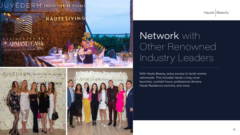### JUVÉDERM COLLECTION OF FILLERS

### HAUTELIVING

ROC. L.A.

12

JUVÉDERM COLLECTION OF FIL

RESIDENC **ARMANI/CASA** Architecture by César Pelli

JUVEDERM. COLLECTION OF FILLERS



### Network with Other Renowned Industry Leaders

With Haute Beauty, enjoy access to lavish events nationwide. This includes Haute Living cover launches, cocktail hours, professional dinners. Haute Residence summits, and more.

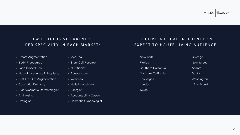

- Breast Augmentation
- Body Procedures
- Face Procedures
- Nose Procedures/Rhinoplasty
- Butt Lift/Butt Augmentation
- Cosmetic Dentistry
- Skin/Cosmetic Dermatologist
- Anti-Aging
- Urologist

#### T WO EXCLUSIVE PARTNERS PER SPECIALTY IN EACH MARKET:

- MedSpa
- Stem Cell Research
- Nutritionist
- Acupuncture
- Wellness
- Holistic medicine
- Allergist
- Accountability Coach
- Cosmetic Gynecologist

#### Haute Beauty

- New York
- Florida
- Southern California
- Northern California
- Las Vegas
- London
- Texas
- Chicago
- New Jersey
- Atlanta
- Boston
- Washington
- ...And More!



#### BECOME A LOCAL INFLUENCER & EXPERT TO HAUTE LIVING AUDIENCE: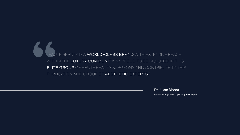# S MAU "HAUTE BEAUTY IS A WORLD-CLASS BRAND WITH EXTENSIVE REACH WITHIN THE LUXURY COMMUNITY. I'M PROUD TO BE INCLUDED IN THIS ELITE GROUP OF HAUTE BEAUTY SURGEONS AND CONTRIBUTE TO THIS PUBLICATION AND GROUP OF AESTHETIC EXPERTS."

Dr. Jason Bloom

Market: Pennsylvania | Speciality: Face Expert